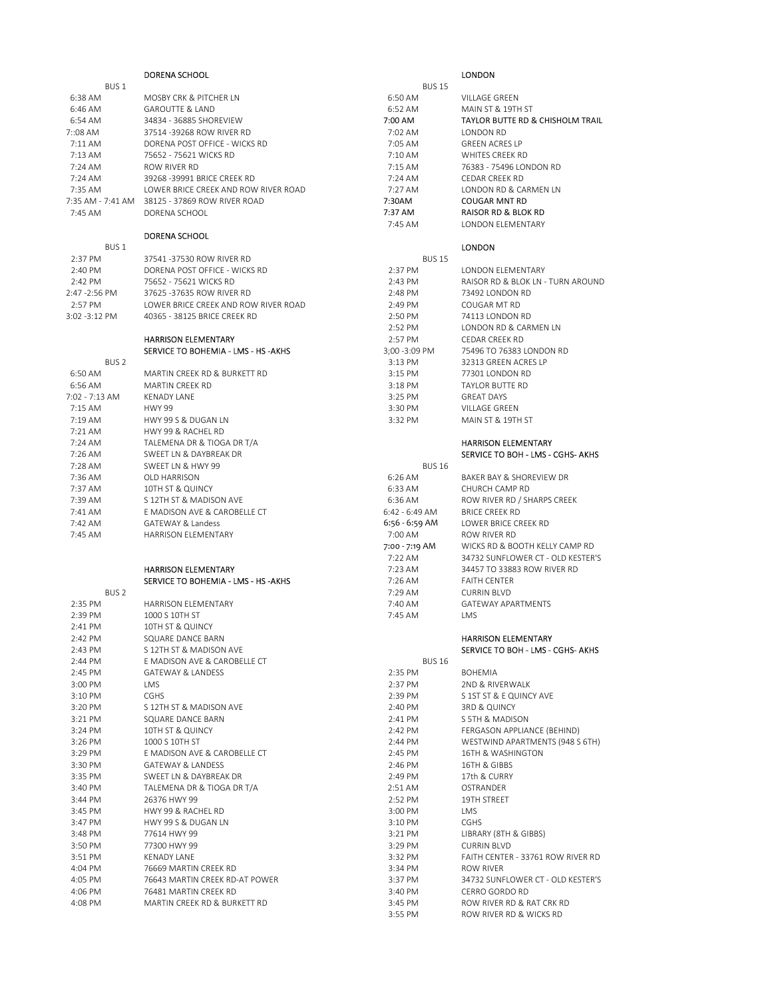|                  | DORENA SCHOOL                                                |                | <b>LONDON</b>                     |
|------------------|--------------------------------------------------------------|----------------|-----------------------------------|
| BUS <sub>1</sub> |                                                              | <b>BUS 15</b>  |                                   |
| 6:38 AM          | MOSBY CRK & PITCHER LN                                       | 6:50 AM        | <b>VILLAGE GREEN</b>              |
| 6:46 AM          | <b>GAROUTTE &amp; LAND</b>                                   | 6:52 AM        | MAIN ST & 19TH ST                 |
| 6:54 AM          | 34834 - 36885 SHOREVIEW                                      | 7:00 AM        | TAYLOR BUTTE RD & CHISHOLM TRAIL  |
| $7:08$ AM        | 37514 -39268 ROW RIVER RD                                    | 7:02 AM        | LONDON RD                         |
| $7:11$ AM        | DORENA POST OFFICE - WICKS RD                                | 7:05 AM        | <b>GREEN ACRES LP</b>             |
| $7:13$ AM        | 75652 - 75621 WICKS RD                                       | 7:10 AM        | WHITES CREEK RD                   |
| 7:24 AM          | ROW RIVER RD                                                 | 7:15 AM        | 76383 - 75496 LONDON RD           |
| 7:24 AM          | 39268 - 39991 BRICE CREEK RD                                 | 7:24 AM        | <b>CEDAR CREEK RD</b>             |
| 7:35 AM          | LOWER BRICE CREEK AND ROW RIVER ROAD                         | 7:27 AM        | LONDON RD & CARMEN LN             |
|                  | 7:35 AM - 7:41 AM 38125 - 37869 ROW RIVER ROAD               | 7:30AM         | <b>COUGAR MNT RD</b>              |
| 7:45 AM          | DORENA SCHOOL                                                | 7:37 AM        | RAISOR RD & BLOK RD               |
|                  |                                                              | 7:45 AM        | LONDON ELEMENTARY                 |
|                  | <b>DORENA SCHOOL</b>                                         |                |                                   |
| BUS <sub>1</sub> |                                                              |                | <b>LONDON</b>                     |
| 2:37 PM          | 37541-37530 ROW RIVER RD                                     | <b>BUS 15</b>  |                                   |
| 2:40 PM          | DORENA POST OFFICE - WICKS RD                                | 2:37 PM        | LONDON ELEMENTARY                 |
| 2:42 PM          | 75652 - 75621 WICKS RD                                       | 2:43 PM        | RAISOR RD & BLOK LN - TURN AROUND |
| 2:47 -2:56 PM    | 37625 - 37635 ROW RIVER RD                                   | 2:48 PM        | 73492 LONDON RD                   |
| 2:57 PM          | LOWER BRICE CREEK AND ROW RIVER ROAD                         | 2:49 PM        | COUGAR MT RD                      |
| $3:02 - 3:12$ PM | 40365 - 38125 BRICE CREEK RD                                 | 2:50 PM        | 74113 LONDON RD                   |
|                  |                                                              | 2:52 PM        | LONDON RD & CARMEN LN             |
|                  | <b>HARRISON ELEMENTARY</b>                                   | 2:57 PM        | CEDAR CREEK RD                    |
|                  | SERVICE TO BOHEMIA - LMS - HS - AKHS                         | 3;00 - 3:09 PM | 75496 TO 76383 LONDON RD          |
| BUS <sub>2</sub> |                                                              | 3:13 PM        | 32313 GREEN ACRES LP              |
| 6:50 AM          | MARTIN CREEK RD & BURKETT RD                                 | 3:15 PM        | 77301 LONDON RD                   |
| 6:56 AM          | MARTIN CREEK RD                                              | 3:18 PM        | <b>TAYLOR BUTTE RD</b>            |
| 7:02 - 7:13 AM   | <b>KENADY LANE</b>                                           | 3:25 PM        | <b>GREAT DAYS</b>                 |
| 7:15 AM          | <b>HWY 99</b>                                                | 3:30 PM        | <b>VILLAGE GREEN</b>              |
| 7:19 AM          | HWY 99 S & DUGAN LN                                          | 3:32 PM        | MAIN ST & 19TH ST                 |
| 7:21 AM          | HWY 99 & RACHEL RD                                           |                |                                   |
| 7:24 AM          | TALEMENA DR & TIOGA DR T/A                                   |                | <b>HARRISON ELEMENTARY</b>        |
| 7:26 AM          | SWEET LN & DAYBREAK DR                                       |                | SERVICE TO BOH - LMS - CGHS- AKHS |
| 7:28 AM          | SWEET LN & HWY 99                                            | <b>BUS 16</b>  |                                   |
| 7:36 AM          | OLD HARRISON                                                 | 6:26 AM        | BAKER BAY & SHOREVIEW DR          |
| 7:37 AM          | 10TH ST & QUINCY                                             | 6:33 AM        | CHURCH CAMP RD                    |
| 7:39 AM          | S 12TH ST & MADISON AVE                                      | 6:36 AM        | ROW RIVER RD / SHARPS CREEK       |
| 7:41 AM          | E MADISON AVE & CAROBELLE CT                                 | 6:42 - 6:49 AM | <b>BRICE CREEK RD</b>             |
| 7:42 AM          | <b>GATEWAY &amp; Landess</b>                                 | 6:56 - 6:59 AM | LOWER BRICE CREEK RD              |
| 7:45 AM          | HARRISON ELEMENTARY                                          | 7:00 AM        | ROW RIVER RD                      |
|                  |                                                              | 7:00 - 7:19 AM | WICKS RD & BOOTH KELLY CAMP RD    |
|                  |                                                              | 7:22 AM        | 34732 SUNFLOWER CT - OLD KESTER'S |
|                  | <b>HARRISON ELEMENTARY</b>                                   | $7:23$ AM      | 34457 TO 33883 ROW RIVER RD       |
|                  | SERVICE TO BOHEMIA - LMS - HS -AKHS                          | 7:26 AM        | <b>FAITH CENTER</b>               |
| BUS <sub>2</sub> |                                                              | 7:29 AM        | <b>CURRIN BLVD</b>                |
| 2:35 PM          | <b>HARRISON ELEMENTARY</b>                                   | 7:40 AM        | <b>GATEWAY APARTMENTS</b>         |
| 2:39 PM          | 1000 S 10TH ST                                               | 7:45 AM        | <b>LMS</b>                        |
| 2:41 PM          | 10TH ST & QUINCY                                             |                |                                   |
| 2:42 PM          | SQUARE DANCE BARN                                            |                | <b>HARRISON ELEMENTARY</b>        |
| 2:43 PM          | S 12TH ST & MADISON AVE                                      |                | SERVICE TO BOH - LMS - CGHS- AKHS |
| 2:44 PM          | E MADISON AVE & CAROBELLE CT                                 | <b>BUS 16</b>  |                                   |
| 2:45 PM          | <b>GATEWAY &amp; LANDESS</b>                                 | 2:35 PM        | <b>BOHEMIA</b>                    |
| 3:00 PM          | LMS                                                          | 2:37 PM        | 2ND & RIVERWALK                   |
| 3:10 PM          | <b>CGHS</b>                                                  | 2:39 PM        | S 1ST ST & E QUINCY AVE           |
| 3:20 PM          | S 12TH ST & MADISON AVE                                      | 2:40 PM        | 3RD & QUINCY                      |
|                  | SQUARE DANCE BARN                                            |                |                                   |
| 3:21 PM          | 10TH ST & QUINCY                                             | 2:41 PM        | S 5TH & MADISON                   |
| 3:24 PM          |                                                              | 2:42 PM        | FERGASON APPLIANCE (BEHIND)       |
| 3:26 PM          | 1000 S 10TH ST                                               | 2:44 PM        | WESTWIND APARTMENTS (948 S 6TH)   |
| 3:29 PM          | E MADISON AVE & CAROBELLE CT<br><b>GATEWAY &amp; LANDESS</b> | 2:45 PM        | 16TH & WASHINGTON                 |
| 3:30 PM          |                                                              | 2:46 PM        | 16TH & GIBBS                      |
| 3:35 PM          | SWEET LN & DAYBREAK DR<br>TALEMENA DR & TIOGA DR T/A         | 2:49 PM        | 17th & CURRY                      |
| 3:40 PM          |                                                              | 2:51 AM        | OSTRANDER                         |
| 3:44 PM          | 26376 HWY 99                                                 | 2:52 PM        | 19TH STREET                       |
| 3:45 PM          | HWY 99 & RACHEL RD                                           | 3:00 PM        | LMS                               |
| 3:47 PM          | HWY 99 S & DUGAN LN                                          | 3:10 PM        | CGHS                              |
| 3:48 PM          | 77614 HWY 99                                                 | 3:21 PM        | LIBRARY (8TH & GIBBS)             |
| 3:50 PM          | 77300 HWY 99                                                 | 3:29 PM        | <b>CURRIN BLVD</b>                |
| 3:51 PM          | <b>KENADY LANE</b>                                           | 3:32 PM        | FAITH CENTER - 33761 ROW RIVER RD |
| 4:04 PM          | 76669 MARTIN CREEK RD                                        | 3:34 PM        | ROW RIVER                         |
| 4:05 PM          | 76643 MARTIN CREEK RD-AT POWER                               | 3:37 PM        | 34732 SUNFLOWER CT - OLD KESTER'S |
| 4:06 PM          | 76481 MARTIN CREEK RD                                        | 3:40 PM        | CERRO GORDO RD                    |
| 4:08 PM          | MARTIN CREEK RD & BURKETT RD                                 | 3:45 PM        | ROW RIVER RD & RAT CRK RD         |

| $6:26$ AM      | <b>BAKER BAY &amp; SHOREVIEW DR</b> |
|----------------|-------------------------------------|
| $6:33$ AM      | CHURCH CAMP RD                      |
| $6:36$ AM      | ROW RIVER RD / SHARPS CREEK         |
| 6:42 - 6:49 AM | <b>BRICE CREEK RD</b>               |
| 6:56 - 6:59 AM | <b>LOWER BRICE CREEK RD</b>         |
| $7:00$ AM      | ROW RIVER RD                        |
| 7:00 - 7:19 AM | WICKS RD & BOOTH KELLY CAMP RD      |
| $7:22$ AM      | 34732 SUNFLOWER CT - OLD KESTER'S   |
| $7:23$ AM      | 34457 TO 33883 ROW RIVER RD         |
| $7:26$ AM      | <b>FAITH CENTER</b>                 |
| $7:29$ AM      | <b>CURRIN BIVD</b>                  |
| $7:40$ AM      | <b>GATEWAY APARTMENTS</b>           |
| $7:45$ AM      | I MS                                |

## ISON ELEMENTARY

| BUS 16       |                                   |
|--------------|-----------------------------------|
| 2:35 PM      | <b>BOHFMIA</b>                    |
| 2:37 PM      | 2ND & RIVERWALK                   |
| 2:39 PM      | S 1ST ST & E QUINCY AVE           |
| $2:40$ PM    | 3RD & QUINCY                      |
| 2:41 PM      | S 5TH & MADISON                   |
| $2:42$ PM    | FERGASON APPLIANCE (BEHIND)       |
| $2:44 \, PM$ | WESTWIND APARTMENTS (948 S 6TH)   |
| $2:45$ PM    | <b>16TH &amp; WASHINGTON</b>      |
| $2:46$ PM    | 16TH & GIRRS                      |
| $2:49$ PM    | 17th & CURRY                      |
| $2:51$ AM    | OSTRANDER                         |
| 2:52 PM      | <b>19TH STRFFT</b>                |
| 3:00 PM      | <b>IMS</b>                        |
| 3:10 PM      | CGHS                              |
| 3:21 PM      | LIBRARY (8TH & GIBBS)             |
| $3:29$ PM    | <b>CURRIN BLVD</b>                |
| 3:32 PM      | FAITH CENTER - 33761 ROW RIVER RD |
| 3:34 PM      | <b>ROW RIVER</b>                  |
| 3:37 PM      | 34732 SUNFLOWER CT - OLD KESTER'S |
| 3:40 PM      | CERRO GORDO RD                    |
| 3:45 PM      | ROW RIVER RD & RAT CRK RD         |
| 3:55 PM      | ROW RIVER RD & WICKS RD           |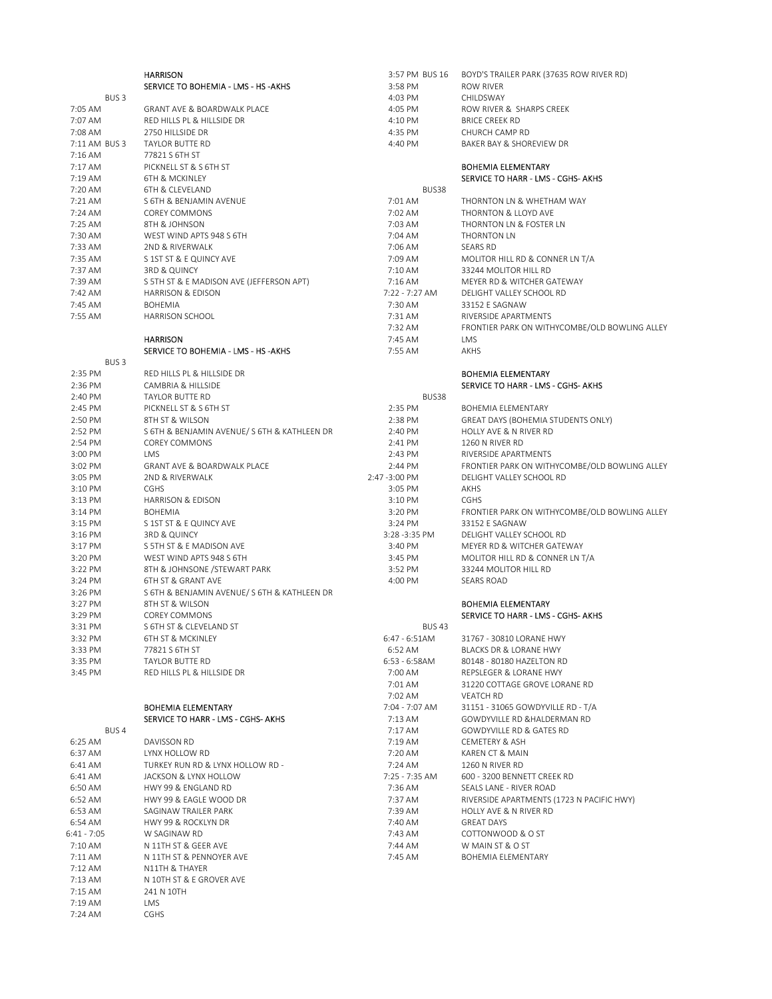|                  | <b>HARRISON</b>                             | 3:57 PM BUS 16 | BOYD'S TRAILER PARK (37635 ROW RIVER RD)      |
|------------------|---------------------------------------------|----------------|-----------------------------------------------|
|                  | SERVICE TO BOHEMIA - LMS - HS - AKHS        | 3:58 PM        | ROW RIVER                                     |
| BUS <sub>3</sub> |                                             | 4:03 PM        | CHILDSWAY                                     |
| 7:05 AM          | <b>GRANT AVE &amp; BOARDWALK PLACE</b>      | 4:05 PM        | ROW RIVER & SHARPS CREEK                      |
| 7:07 AM          | RED HILLS PL & HILLSIDE DR                  | 4:10 PM        | <b>BRICE CREEK RD</b>                         |
| 7:08 AM          | 2750 HILLSIDE DR                            | 4:35 PM        | CHURCH CAMP RD                                |
| 7:11 AM BUS 3    | TAYLOR BUTTE RD                             | 4:40 PM        | BAKER BAY & SHOREVIEW DR                      |
| 7:16 AM          | 77821 S 6TH ST                              |                |                                               |
| 7:17 AM          | PICKNELL ST & S 6TH ST                      |                | <b>BOHEMIA ELEMENTARY</b>                     |
| 7:19 AM          | <b>6TH &amp; MCKINLEY</b>                   |                | SERVICE TO HARR - LMS - CGHS- AKHS            |
| 7:20 AM          | 6TH & CLEVELAND                             | BUS38          |                                               |
| 7:21 AM          | S 6TH & BENJAMIN AVENUE                     | 7:01 AM        | THORNTON LN & WHETHAM WAY                     |
| 7:24 AM          | <b>COREY COMMONS</b>                        | 7:02 AM        | THORNTON & LLOYD AVE                          |
|                  | 8TH & JOHNSON                               | 7:03 AM        | THORNTON LN & FOSTER LN                       |
| 7:25 AM          | WEST WIND APTS 948 S 6TH                    |                |                                               |
| 7:30 AM          |                                             | 7:04 AM        | THORNTON LN                                   |
| 7:33 AM          | 2ND & RIVERWALK                             | 7:06 AM        | <b>SEARS RD</b>                               |
| 7:35 AM          | S 1ST ST & E QUINCY AVE                     | 7:09 AM        | MOLITOR HILL RD & CONNER LN T/A               |
| 7:37 AM          | 3RD & QUINCY                                | 7:10 AM        | 33244 MOLITOR HILL RD                         |
| 7:39 AM          | S 5TH ST & E MADISON AVE (JEFFERSON APT)    | 7:16 AM        | MEYER RD & WITCHER GATEWAY                    |
| 7:42 AM          | <b>HARRISON &amp; EDISON</b>                | 7:22 - 7:27 AM | DELIGHT VALLEY SCHOOL RD                      |
| 7:45 AM          | <b>BOHEMIA</b>                              | 7:30 AM        | 33152 E SAGNAW                                |
| 7:55 AM          | <b>HARRISON SCHOOL</b>                      | 7:31 AM        | RIVERSIDE APARTMENTS                          |
|                  |                                             | 7:32 AM        | FRONTIER PARK ON WITHYCOMBE/OLD BOWLING ALLEY |
|                  | <b>HARRISON</b>                             | $7:45$ AM      | <b>LMS</b>                                    |
|                  | SERVICE TO BOHEMIA - LMS - HS - AKHS        | 7:55 AM        | AKHS                                          |
| BUS <sub>3</sub> |                                             |                |                                               |
| 2:35 PM          | RED HILLS PL & HILLSIDE DR                  |                | <b>BOHEMIA ELEMENTARY</b>                     |
| 2:36 PM          | CAMBRIA & HILLSIDE                          |                | SERVICE TO HARR - LMS - CGHS- AKHS            |
| 2:40 PM          | TAYLOR BUTTE RD                             | BUS38          |                                               |
| 2:45 PM          | PICKNELL ST & S 6TH ST                      | 2:35 PM        | <b>BOHEMIA ELEMENTARY</b>                     |
| 2:50 PM          | 8TH ST & WILSON                             | 2:38 PM        | <b>GREAT DAYS (BOHEMIA STUDENTS ONLY)</b>     |
| 2:52 PM          | S 6TH & BENJAMIN AVENUE/S 6TH & KATHLEEN DR | 2:40 PM        | HOLLY AVE & N RIVER RD                        |
|                  |                                             |                |                                               |
| 2:54 PM          | <b>COREY COMMONS</b>                        | 2:41 PM        | 1260 N RIVER RD                               |
| 3:00 PM          | LMS                                         | 2:43 PM        | RIVERSIDE APARTMENTS                          |
| 3:02 PM          | <b>GRANT AVE &amp; BOARDWALK PLACE</b>      | 2:44 PM        | FRONTIER PARK ON WITHYCOMBE/OLD BOWLING ALLEY |
| 3:05 PM          | 2ND & RIVERWALK                             | 2:47 - 3:00 PM | DELIGHT VALLEY SCHOOL RD                      |
| 3:10 PM          | <b>CGHS</b>                                 | 3:05 PM        | <b>AKHS</b>                                   |
| 3:13 PM          | <b>HARRISON &amp; EDISON</b>                | 3:10 PM        | <b>CGHS</b>                                   |
| 3:14 PM          | <b>BOHEMIA</b>                              | 3:20 PM        | FRONTIER PARK ON WITHYCOMBE/OLD BOWLING ALLEY |
| 3:15 PM          | S 1ST ST & E QUINCY AVE                     | 3:24 PM        | 33152 E SAGNAW                                |
| 3:16 PM          | 3RD & QUINCY                                | 3:28 - 3:35 PM | DELIGHT VALLEY SCHOOL RD                      |
| 3:17 PM          | S 5TH ST & E MADISON AVE                    | 3:40 PM        | MEYER RD & WITCHER GATEWAY                    |
| 3:20 PM          | WEST WIND APTS 948 S 6TH                    | 3:45 PM        | MOLITOR HILL RD & CONNER LN T/A               |
| 3:22 PM          | 8TH & JOHNSONE / STEWART PARK               | 3:52 PM        | 33244 MOLITOR HILL RD                         |
| 3:24 PM          | 6TH ST & GRANT AVE                          | 4:00 PM        | <b>SEARS ROAD</b>                             |
| 3:26 PM          | S 6TH & BENJAMIN AVENUE/S 6TH & KATHLEEN DR |                |                                               |
| 3:27 PM          | 8TH ST & WILSON                             |                | <b>BOHEMIA ELEMENTARY</b>                     |
| 3:29 PM          | <b>COREY COMMONS</b>                        |                | SERVICE TO HARR - LMS - CGHS- AKHS            |
| 3:31 PM          | S 6TH ST & CLEVELAND ST                     | <b>BUS 43</b>  |                                               |
|                  |                                             |                | 31767 - 30810 LORANE HWY                      |
| 3:32 PM          | 6TH ST & MCKINLEY                           | 6:47 - 6:51AM  |                                               |
| 3:33 PM          | 77821 S 6TH ST                              | 6:52 AM        | BLACKS DR & LORANE HWY                        |
| 3:35 PM          | TAYLOR BUTTE RD                             | 6:53 - 6:58AM  | 80148 - 80180 HAZELTON RD                     |
| 3:45 PM          | RED HILLS PL & HILLSIDE DR                  | 7:00 AM        | REPSLEGER & LORANE HWY                        |
|                  |                                             | 7:01 AM        | 31220 COTTAGE GROVE LORANE RD                 |
|                  |                                             | 7:02 AM        | <b>VEATCH RD</b>                              |
|                  | BOHEMIA ELEMENTARY                          | 7:04 - 7:07 AM | 31151 - 31065 GOWDYVILLE RD - T/A             |
|                  | SERVICE TO HARR - LMS - CGHS- AKHS          | 7:13 AM        | GOWDYVILLE RD &HALDERMAN RD                   |
| BUS <sub>4</sub> |                                             | 7:17 AM        | <b>GOWDYVILLE RD &amp; GATES RD</b>           |
| 6:25 AM          | <b>DAVISSON RD</b>                          | 7:19 AM        | <b>CEMETERY &amp; ASH</b>                     |
| 6:37 AM          | LYNX HOLLOW RD                              | 7:20 AM        | KAREN CT & MAIN                               |
| 6:41 AM          | TURKEY RUN RD & LYNX HOLLOW RD -            | 7:24 AM        | 1260 N RIVER RD                               |
| 6:41 AM          | JACKSON & LYNX HOLLOW                       | 7:25 - 7:35 AM | 600 - 3200 BENNETT CREEK RD                   |
| 6:50 AM          | HWY 99 & ENGLAND RD                         | 7:36 AM        | SEALS LANE - RIVER ROAD                       |
| 6:52 AM          | HWY 99 & EAGLE WOOD DR                      | 7:37 AM        | RIVERSIDE APARTMENTS (1723 N PACIFIC HWY)     |
| 6:53 AM          | SAGINAW TRAILER PARK                        | 7:39 AM        | HOLLY AVE & N RIVER RD                        |
|                  |                                             |                |                                               |
| 6:54 AM          | HWY 99 & ROCKLYN DR                         | 7:40 AM        | <b>GREAT DAYS</b>                             |
| 6:41 - 7:05      | W SAGINAW RD                                | 7:43 AM        | COTTONWOOD & O ST                             |
| 7:10 AM          | N 11TH ST & GEER AVE                        | 7:44 AM        | W MAIN ST & O ST                              |
| 7:11 AM          | N 11TH ST & PENNOYER AVE                    | 7:45 AM        | BOHEMIA ELEMENTARY                            |
| 7:12 AM          | N11TH & THAYER                              |                |                                               |
| 7:13 AM          | N 10TH ST & E GROVER AVE                    |                |                                               |
| 7:15 AM          | 241 N 10TH                                  |                |                                               |
| 7:19 AM          | LMS                                         |                |                                               |
| 7:24 AM          | CGHS                                        |                |                                               |
|                  |                                             |                |                                               |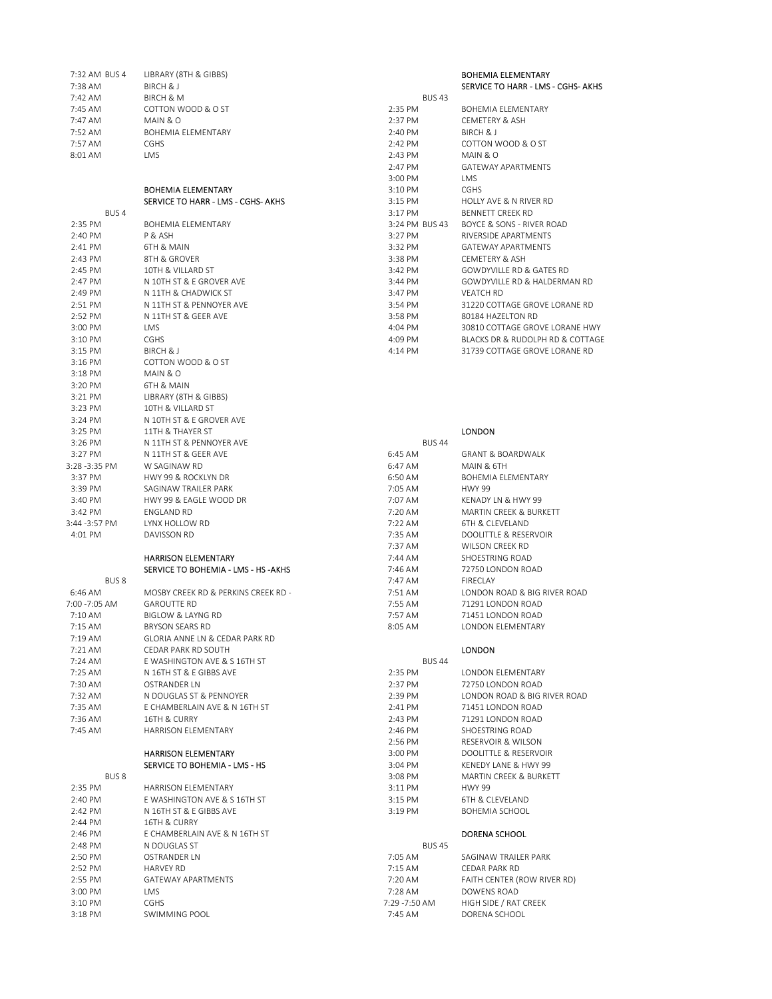| 7:32 AM BUS 4    | LIBRARY (8TH & GIBBS)               |                | <b>BOHEMIA ELEMENTARY</b>            |
|------------------|-------------------------------------|----------------|--------------------------------------|
| 7:38 AM          | BIRCH & J                           |                | SERVICE TO HARR - LMS - CGHS- AKHS   |
| 7:42 AM          | <b>BIRCH &amp; M</b>                | <b>BUS 43</b>  |                                      |
| 7:45 AM          | COTTON WOOD & O ST                  | 2:35 PM        | <b>BOHEMIA ELEMENTARY</b>            |
| 7:47 AM          | MAIN & O                            | 2:37 PM        | CEMETERY & ASH                       |
| 7:52 AM          | BOHEMIA ELEMENTARY                  | 2:40 PM        | BIRCH & J                            |
| 7:57 AM          | CGHS                                | 2:42 PM        | COTTON WOOD & O ST                   |
| 8:01 AM          | LMS                                 | 2:43 PM        | MAIN & O                             |
|                  |                                     | 2:47 PM        | <b>GATEWAY APARTMENTS</b>            |
|                  |                                     | 3:00 PM        | LMS                                  |
|                  | <b>BOHEMIA ELEMENTARY</b>           | 3:10 PM        | <b>CGHS</b>                          |
|                  | SERVICE TO HARR - LMS - CGHS- AKHS  | $3:15$ PM      | HOLLY AVE & N RIVER RD               |
| BUS <sub>4</sub> |                                     | 3:17 PM        | <b>BENNETT CREEK RD</b>              |
| 2:35 PM          | <b>BOHEMIA ELEMENTARY</b>           | 3:24 PM BUS 43 | <b>BOYCE &amp; SONS - RIVER ROAD</b> |
| 2:40 PM          | P & ASH                             | 3:27 PM        | RIVERSIDE APARTMENTS                 |
| 2:41 PM          | 6TH & MAIN                          | 3:32 PM        | <b>GATEWAY APARTMENTS</b>            |
| 2:43 PM          | 8TH & GROVER                        | 3:38 PM        | <b>CEMETERY &amp; ASH</b>            |
| 2:45 PM          | 10TH & VILLARD ST                   | 3:42 PM        | GOWDYVILLE RD & GATES RD             |
| 2:47 PM          | N 10TH ST & E GROVER AVE            | 3:44 PM        | GOWDYVILLE RD & HALDERMAN RD         |
| 2:49 PM          | N 11TH & CHADWICK ST                | 3:47 PM        | <b>VEATCH RD</b>                     |
| 2:51 PM          | N 11TH ST & PENNOYER AVE            | 3:54 PM        | 31220 COTTAGE GROVE LORANE RD        |
| 2:52 PM          | N 11TH ST & GEER AVE                | 3:58 PM        | 80184 HAZELTON RD                    |
| 3:00 PM          | LMS                                 | 4:04 PM        | 30810 COTTAGE GROVE LORANE HWY       |
| 3:10 PM          | CGHS                                | 4:09 PM        | BLACKS DR & RUDOLPH RD & COTTAGE     |
| 3:15 PM          | BIRCH & J                           | 4:14 PM        | 31739 COTTAGE GROVE LORANE RD        |
| $3:16$ PM        | COTTON WOOD & O ST                  |                |                                      |
| $3:18$ PM        | MAIN & O                            |                |                                      |
| 3:20 PM          | 6TH & MAIN                          |                |                                      |
| 3:21 PM          | LIBRARY (8TH & GIBBS)               |                |                                      |
| 3:23 PM          | 10TH & VILLARD ST                   |                |                                      |
| 3:24 PM          | N 10TH ST & E GROVER AVE            |                |                                      |
| 3:25 PM          | 11TH & THAYER ST                    |                | <b>LONDON</b>                        |
| 3:26 PM          | N 11TH ST & PENNOYER AVE            | <b>BUS 44</b>  |                                      |
| 3:27 PM          | N 11TH ST & GEER AVE                | 6:45 AM        | <b>GRANT &amp; BOARDWALK</b>         |
| 3:28 -3:35 PM    | W SAGINAW RD                        | 6:47 AM        | MAIN & 6TH                           |
| 3:37 PM          | HWY 99 & ROCKLYN DR                 | 6:50 AM        | <b>BOHEMIA ELEMENTARY</b>            |
| 3:39 PM          | SAGINAW TRAILER PARK                | 7:05 AM        | <b>HWY 99</b>                        |
| 3:40 PM          | HWY 99 & EAGLE WOOD DR              | 7:07 AM        | KENADY LN & HWY 99                   |
| 3:42 PM          | ENGLAND RD                          | 7:20 AM        | <b>MARTIN CREEK &amp; BURKETT</b>    |
| 3:44 -3:57 PM    | LYNX HOLLOW RD                      | 7:22 AM        | 6TH & CLEVELAND                      |
| 4:01 PM          | DAVISSON RD                         | 7:35 AM        | DOOLITTLE & RESERVOIR                |
|                  |                                     | 7:37 AM        | WILSON CREEK RD                      |
|                  | <b>HARRISON ELEMENTARY</b>          | 7:44 AM        | SHOESTRING ROAD                      |
|                  | SERVICE TO BOHEMIA - LMS - HS -AKHS | 7:46 AM        | 72750 LONDON ROAD                    |
| BUS <sub>8</sub> |                                     | 7:47 AM        | FIRECLAY                             |
| 6:46 AM          | MOSBY CREEK RD & PERKINS CREEK RD - | 7:51 AM        | LONDON ROAD & BIG RIVER ROAD         |
| 7:00 -7:05 AM    | <b>GAROUTTE RD</b>                  | 7:55 AM        | 71291 LONDON ROAD                    |
| 7:10 AM          | <b>BIGLOW &amp; LAYNG RD</b>        | 7:57 AM        | 71451 LONDON ROAD                    |
| 7:15 AM          | <b>BRYSON SEARS RD</b>              | 8:05 AM        | <b>LONDON ELEMENTARY</b>             |
| /:19 AM          | GLORIA ANNE LN & CEDAR PARK RD      |                |                                      |
| 7:21 AM          | CEDAR PARK RD SOUTH                 |                | <b>LONDON</b>                        |
| 7:24 AM          | E WASHINGTON AVE & S 16TH ST        | <b>BUS 44</b>  |                                      |
| 7:25 AM          | N 16TH ST & E GIBBS AVE             | 2:35 PM        | LONDON ELEMENTARY                    |
| 7:30 AM          | OSTRANDER LN                        | 2:37 PM        | 72750 LONDON ROAD                    |
| 7:32 AM          | N DOUGLAS ST & PENNOYER             | 2:39 PM        | LONDON ROAD & BIG RIVER ROAD         |
| 7:35 AM          | E CHAMBERLAIN AVE & N 16TH ST       | 2:41 PM        | 71451 LONDON ROAD                    |
| 7:36 AM          | 16TH & CURRY                        | 2:43 PM        | 71291 LONDON ROAD                    |
| 7:45 AM          | HARRISON ELEMENTARY                 | 2:46 PM        | SHOESTRING ROAD                      |
|                  |                                     | 2:56 PM        | RESERVOIR & WILSON                   |
|                  | <b>HARRISON ELEMENTARY</b>          | 3:00 PM        | DOOLITTLE & RESERVOIR                |
|                  | SERVICE TO BOHEMIA - LMS - HS       | 3:04 PM        | KENEDY LANE & HWY 99                 |
| BUS <sub>8</sub> |                                     | 3:08 PM        | MARTIN CREEK & BURKETT               |
| 2:35 PM          | HARRISON ELEMENTARY                 | 3:11 PM        | <b>HWY 99</b>                        |
| 2:40 PM          | E WASHINGTON AVE & S 16TH ST        | 3:15 PM        | 6TH & CLEVELAND                      |
| 2:42 PM          | N 16TH ST & E GIBBS AVE             | 3:19 PM        | BOHEMIA SCHOOL                       |
| 2:44 PM          | 16TH & CURRY                        |                |                                      |
| 2:46 PM          | E CHAMBERLAIN AVE & N 16TH ST       |                | DORENA SCHOOL                        |
| 2:48 PM          | N DOUGLAS ST                        | <b>BUS 45</b>  |                                      |
| 2:50 PM          | OSTRANDER LN                        | 7:05 AM        | SAGINAW TRAILER PARK                 |
| 2:52 PM          | <b>HARVEY RD</b>                    | 7:15 AM        | CEDAR PARK RD                        |
| 2:55 PM          | GATEWAY APARTMENTS                  | 7:20 AM        | FAITH CENTER (ROW RIVER RD)          |
| 3:00 PM          | LMS                                 | 7:28 AM        | DOWENS ROAD                          |
| 3:10 PM          | <b>CGHS</b>                         | 7:29 - 7:50 AM | HIGH SIDE / RAT CREEK                |
| 3:18 PM          | SWIMMING POOL                       | 7:45 AM        | DORENA SCHOOL                        |